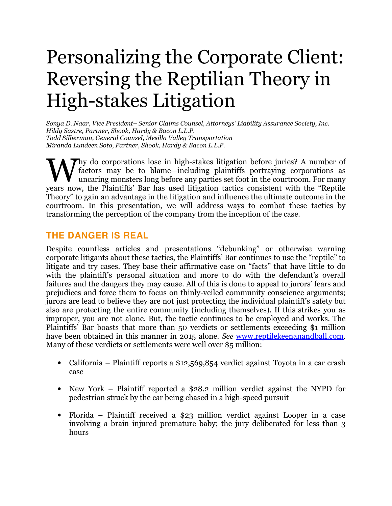# Personalizing the Corporate Client: Reversing the Reptilian Theory in High-stakes Litigation

Sonya D. Naar, Vice President– Senior Claims Counsel, Attorneys' Liability Assurance Society, Inc. Hildy Sastre, Partner, Shook, Hardy & Bacon L.L.P. Todd Silberman, General Counsel, Mesilla Valley Transportation Miranda Lundeen Soto, Partner, Shook, Hardy & Bacon L.L.P.

 $\sum$ hy do corporations lose in high-stakes litigation before juries? A number of factors may be to blame—including plaintiffs portraying corporations as uncaring monsters long before any parties set foot in the courtroom. For many Why do corporations lose in high-stakes litigation before juries? A number of factors may be to blame—including plaintiffs portraying corporations as uncaring monsters long before any parties set foot in the courtroom. For Theory" to gain an advantage in the litigation and influence the ultimate outcome in the courtroom. In this presentation, we will address ways to combat these tactics by transforming the perception of the company from the inception of the case.

# **THE DANGER IS REAL**

Despite countless articles and presentations "debunking" or otherwise warning corporate litigants about these tactics, the Plaintiffs' Bar continues to use the "reptile" to litigate and try cases. They base their affirmative case on "facts" that have little to do with the plaintiff's personal situation and more to do with the defendant's overall failures and the dangers they may cause. All of this is done to appeal to jurors' fears and prejudices and force them to focus on thinly-veiled community conscience arguments; jurors are lead to believe they are not just protecting the individual plaintiff's safety but also are protecting the entire community (including themselves). If this strikes you as improper, you are not alone. But, the tactic continues to be employed and works. The Plaintiffs' Bar boasts that more than 50 verdicts or settlements exceeding \$1 million have been obtained in this manner in 2015 alone. See www.reptilekeenanandball.com. Many of these verdicts or settlements were well over \$5 million:

- California Plaintiff reports a \$12,569,854 verdict against Toyota in a car crash case
- New York Plaintiff reported a \$28.2 million verdict against the NYPD for pedestrian struck by the car being chased in a high-speed pursuit
- Florida Plaintiff received a \$23 million verdict against Looper in a case involving a brain injured premature baby; the jury deliberated for less than 3 hours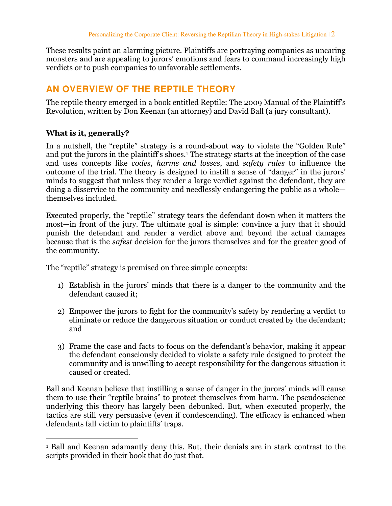These results paint an alarming picture. Plaintiffs are portraying companies as uncaring monsters and are appealing to jurors' emotions and fears to command increasingly high verdicts or to push companies to unfavorable settlements.

# **AN OVERVIEW OF THE REPTILE THEORY**

The reptile theory emerged in a book entitled Reptile: The 2009 Manual of the Plaintiff's Revolution, written by Don Keenan (an attorney) and David Ball (a jury consultant).

### What is it, generally?

In a nutshell, the "reptile" strategy is a round-about way to violate the "Golden Rule" and put the jurors in the plaintiff's shoes.<sup>1</sup> The strategy starts at the inception of the case and uses concepts like codes, harms and losses, and safety rules to influence the outcome of the trial. The theory is designed to instill a sense of "danger" in the jurors' minds to suggest that unless they render a large verdict against the defendant, they are doing a disservice to the community and needlessly endangering the public as a whole themselves included.

Executed properly, the "reptile" strategy tears the defendant down when it matters the most—in front of the jury. The ultimate goal is simple: convince a jury that it should punish the defendant and render a verdict above and beyond the actual damages because that is the safest decision for the jurors themselves and for the greater good of the community.

The "reptile" strategy is premised on three simple concepts:

- 1) Establish in the jurors' minds that there is a danger to the community and the defendant caused it;
- 2) Empower the jurors to fight for the community's safety by rendering a verdict to eliminate or reduce the dangerous situation or conduct created by the defendant; and
- 3) Frame the case and facts to focus on the defendant's behavior, making it appear the defendant consciously decided to violate a safety rule designed to protect the community and is unwilling to accept responsibility for the dangerous situation it caused or created.

Ball and Keenan believe that instilling a sense of danger in the jurors' minds will cause them to use their "reptile brains" to protect themselves from harm. The pseudoscience underlying this theory has largely been debunked. But, when executed properly, the tactics are still very persuasive (even if condescending). The efficacy is enhanced when defendants fall victim to plaintiffs' traps.

 $\overline{a}$ 1 Ball and Keenan adamantly deny this. But, their denials are in stark contrast to the scripts provided in their book that do just that.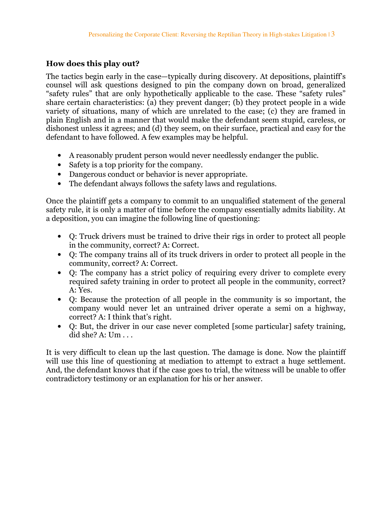## How does this play out?

The tactics begin early in the case—typically during discovery. At depositions, plaintiff's counsel will ask questions designed to pin the company down on broad, generalized "safety rules" that are only hypothetically applicable to the case. These "safety rules" share certain characteristics: (a) they prevent danger; (b) they protect people in a wide variety of situations, many of which are unrelated to the case; (c) they are framed in plain English and in a manner that would make the defendant seem stupid, careless, or dishonest unless it agrees; and (d) they seem, on their surface, practical and easy for the defendant to have followed. A few examples may be helpful.

- A reasonably prudent person would never needlessly endanger the public.
- Safety is a top priority for the company.
- Dangerous conduct or behavior is never appropriate.
- The defendant always follows the safety laws and regulations.

Once the plaintiff gets a company to commit to an unqualified statement of the general safety rule, it is only a matter of time before the company essentially admits liability. At a deposition, you can imagine the following line of questioning:

- Q: Truck drivers must be trained to drive their rigs in order to protect all people in the community, correct? A: Correct.
- Q: The company trains all of its truck drivers in order to protect all people in the community, correct? A: Correct.
- Q: The company has a strict policy of requiring every driver to complete every required safety training in order to protect all people in the community, correct? A: Yes.
- Q: Because the protection of all people in the community is so important, the company would never let an untrained driver operate a semi on a highway, correct? A: I think that's right.
- Q: But, the driver in our case never completed [some particular] safety training, did she? A: Um . . .

It is very difficult to clean up the last question. The damage is done. Now the plaintiff will use this line of questioning at mediation to attempt to extract a huge settlement. And, the defendant knows that if the case goes to trial, the witness will be unable to offer contradictory testimony or an explanation for his or her answer.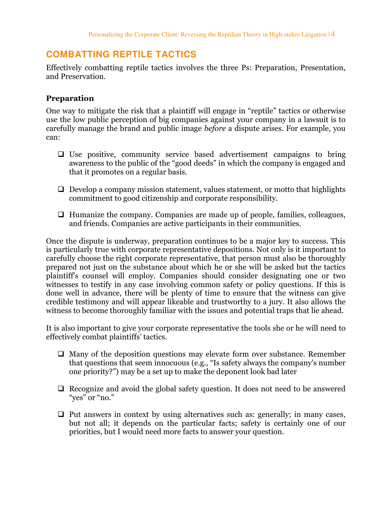# **COMBATTING REPTILE TACTICS**

Effectively combatting reptile tactics involves the three Ps: Preparation, Presentation, and Preservation.

#### Preparation

One way to mitigate the risk that a plaintiff will engage in "reptile" tactics or otherwise use the low public perception of big companies against your company in a lawsuit is to carefully manage the brand and public image before a dispute arises. For example, you can:

- $\Box$  Use positive, community service based advertisement campaigns to bring awareness to the public of the "good deeds" in which the company is engaged and that it promotes on a regular basis.
- $\Box$  Develop a company mission statement, values statement, or motto that highlights commitment to good citizenship and corporate responsibility.
- $\Box$  Humanize the company. Companies are made up of people, families, colleagues, and friends. Companies are active participants in their communities.

Once the dispute is underway, preparation continues to be a major key to success. This is particularly true with corporate representative depositions. Not only is it important to carefully choose the right corporate representative, that person must also be thoroughly prepared not just on the substance about which he or she will be asked but the tactics plaintiff's counsel will employ. Companies should consider designating one or two witnesses to testify in any case involving common safety or policy questions. If this is done well in advance, there will be plenty of time to ensure that the witness can give credible testimony and will appear likeable and trustworthy to a jury. It also allows the witness to become thoroughly familiar with the issues and potential traps that lie ahead.

It is also important to give your corporate representative the tools she or he will need to effectively combat plaintiffs' tactics.

- $\Box$  Many of the deposition questions may elevate form over substance. Remember that questions that seem innocuous (e.g., "Is safety always the company's number one priority?") may be a set up to make the deponent look bad later
- $\Box$  Recognize and avoid the global safety question. It does not need to be answered "yes" or "no."
- $\Box$  Put answers in context by using alternatives such as: generally; in many cases, but not all; it depends on the particular facts; safety is certainly one of our priorities, but I would need more facts to answer your question.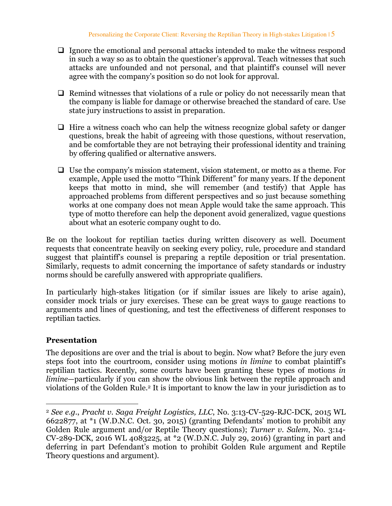- $\Box$  Ignore the emotional and personal attacks intended to make the witness respond in such a way so as to obtain the questioner's approval. Teach witnesses that such attacks are unfounded and not personal, and that plaintiff's counsel will never agree with the company's position so do not look for approval.
- $\Box$  Remind witnesses that violations of a rule or policy do not necessarily mean that the company is liable for damage or otherwise breached the standard of care. Use state jury instructions to assist in preparation.
- $\Box$  Hire a witness coach who can help the witness recognize global safety or danger questions, break the habit of agreeing with those questions, without reservation, and be comfortable they are not betraying their professional identity and training by offering qualified or alternative answers.
- $\Box$  Use the company's mission statement, vision statement, or motto as a theme. For example, Apple used the motto "Think Different" for many years. If the deponent keeps that motto in mind, she will remember (and testify) that Apple has approached problems from different perspectives and so just because something works at one company does not mean Apple would take the same approach. This type of motto therefore can help the deponent avoid generalized, vague questions about what an esoteric company ought to do.

Be on the lookout for reptilian tactics during written discovery as well. Document requests that concentrate heavily on seeking every policy, rule, procedure and standard suggest that plaintiff's counsel is preparing a reptile deposition or trial presentation. Similarly, requests to admit concerning the importance of safety standards or industry norms should be carefully answered with appropriate qualifiers.

In particularly high-stakes litigation (or if similar issues are likely to arise again), consider mock trials or jury exercises. These can be great ways to gauge reactions to arguments and lines of questioning, and test the effectiveness of different responses to reptilian tactics.

## Presentation

 $\overline{a}$ 

The depositions are over and the trial is about to begin. Now what? Before the jury even steps foot into the courtroom, consider using motions in limine to combat plaintiff's reptilian tactics. Recently, some courts have been granting these types of motions in limine—particularly if you can show the obvious link between the reptile approach and violations of the Golden Rule.2 It is important to know the law in your jurisdiction as to

<sup>2</sup> See e.g., Pracht v. Saga Freight Logistics, LLC, No. 3:13-CV-529-RJC-DCK, 2015 WL 6622877, at \*1 (W.D.N.C. Oct. 30, 2015) (granting Defendants' motion to prohibit any Golden Rule argument and/or Reptile Theory questions); Turner v. Salem, No. 3:14-CV-289-DCK, 2016 WL 4083225, at \*2 (W.D.N.C. July 29, 2016) (granting in part and deferring in part Defendant's motion to prohibit Golden Rule argument and Reptile Theory questions and argument).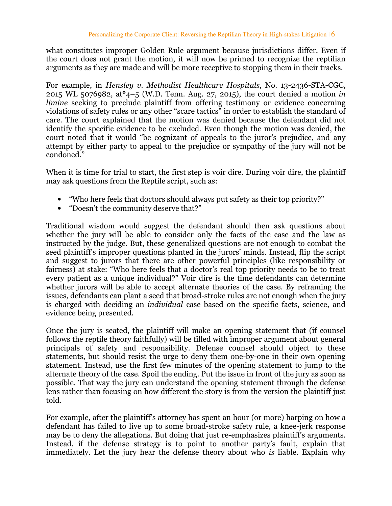what constitutes improper Golden Rule argument because jurisdictions differ. Even if the court does not grant the motion, it will now be primed to recognize the reptilian arguments as they are made and will be more receptive to stopping them in their tracks.

For example, in Hensley v. Methodist Healthcare Hospitals, No. 13-2436-STA-CGC, 2015 WL 5076982, at\*4–5 (W.D. Tenn. Aug. 27, 2015), the court denied a motion in limine seeking to preclude plaintiff from offering testimony or evidence concerning violations of safety rules or any other "scare tactics" in order to establish the standard of care. The court explained that the motion was denied because the defendant did not identify the specific evidence to be excluded. Even though the motion was denied, the court noted that it would "be cognizant of appeals to the juror's prejudice, and any attempt by either party to appeal to the prejudice or sympathy of the jury will not be condoned."

When it is time for trial to start, the first step is voir dire. During voir dire, the plaintiff may ask questions from the Reptile script, such as:

- "Who here feels that doctors should always put safety as their top priority?"
- "Doesn't the community deserve that?"

Traditional wisdom would suggest the defendant should then ask questions about whether the jury will be able to consider only the facts of the case and the law as instructed by the judge. But, these generalized questions are not enough to combat the seed plaintiff's improper questions planted in the jurors' minds. Instead, flip the script and suggest to jurors that there are other powerful principles (like responsibility or fairness) at stake: "Who here feels that a doctor's real top priority needs to be to treat every patient as a unique individual?" Voir dire is the time defendants can determine whether jurors will be able to accept alternate theories of the case. By reframing the issues, defendants can plant a seed that broad-stroke rules are not enough when the jury is charged with deciding an individual case based on the specific facts, science, and evidence being presented.

Once the jury is seated, the plaintiff will make an opening statement that (if counsel follows the reptile theory faithfully) will be filled with improper argument about general principals of safety and responsibility. Defense counsel should object to these statements, but should resist the urge to deny them one-by-one in their own opening statement. Instead, use the first few minutes of the opening statement to jump to the alternate theory of the case. Spoil the ending. Put the issue in front of the jury as soon as possible. That way the jury can understand the opening statement through the defense lens rather than focusing on how different the story is from the version the plaintiff just told.

For example, after the plaintiff's attorney has spent an hour (or more) harping on how a defendant has failed to live up to some broad-stroke safety rule, a knee-jerk response may be to deny the allegations. But doing that just re-emphasizes plaintiff's arguments. Instead, if the defense strategy is to point to another party's fault, explain that immediately. Let the jury hear the defense theory about who is liable. Explain why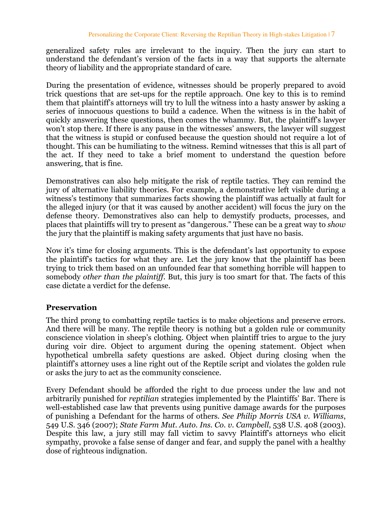generalized safety rules are irrelevant to the inquiry. Then the jury can start to understand the defendant's version of the facts in a way that supports the alternate theory of liability and the appropriate standard of care.

During the presentation of evidence, witnesses should be properly prepared to avoid trick questions that are set-ups for the reptile approach. One key to this is to remind them that plaintiff's attorneys will try to lull the witness into a hasty answer by asking a series of innocuous questions to build a cadence. When the witness is in the habit of quickly answering these questions, then comes the whammy. But, the plaintiff's lawyer won't stop there. If there is any pause in the witnesses' answers, the lawyer will suggest that the witness is stupid or confused because the question should not require a lot of thought. This can be humiliating to the witness. Remind witnesses that this is all part of the act. If they need to take a brief moment to understand the question before answering, that is fine.

Demonstratives can also help mitigate the risk of reptile tactics. They can remind the jury of alternative liability theories. For example, a demonstrative left visible during a witness's testimony that summarizes facts showing the plaintiff was actually at fault for the alleged injury (or that it was caused by another accident) will focus the jury on the defense theory. Demonstratives also can help to demystify products, processes, and places that plaintiffs will try to present as "dangerous." These can be a great way to show the jury that the plaintiff is making safety arguments that just have no basis.

Now it's time for closing arguments. This is the defendant's last opportunity to expose the plaintiff's tactics for what they are. Let the jury know that the plaintiff has been trying to trick them based on an unfounded fear that something horrible will happen to somebody other than the plaintiff. But, this jury is too smart for that. The facts of this case dictate a verdict for the defense.

## Preservation

The third prong to combatting reptile tactics is to make objections and preserve errors. And there will be many. The reptile theory is nothing but a golden rule or community conscience violation in sheep's clothing. Object when plaintiff tries to argue to the jury during voir dire. Object to argument during the opening statement. Object when hypothetical umbrella safety questions are asked. Object during closing when the plaintiff's attorney uses a line right out of the Reptile script and violates the golden rule or asks the jury to act as the community conscience.

Every Defendant should be afforded the right to due process under the law and not arbitrarily punished for reptilian strategies implemented by the Plaintiffs' Bar. There is well-established case law that prevents using punitive damage awards for the purposes of punishing a Defendant for the harms of others. See Philip Morris USA v. Williams, 549 U.S. 346 (2007); State Farm Mut. Auto. Ins. Co. v. Campbell, 538 U.S. 408 (2003). Despite this law, a jury still may fall victim to savvy Plaintiff's attorneys who elicit sympathy, provoke a false sense of danger and fear, and supply the panel with a healthy dose of righteous indignation.